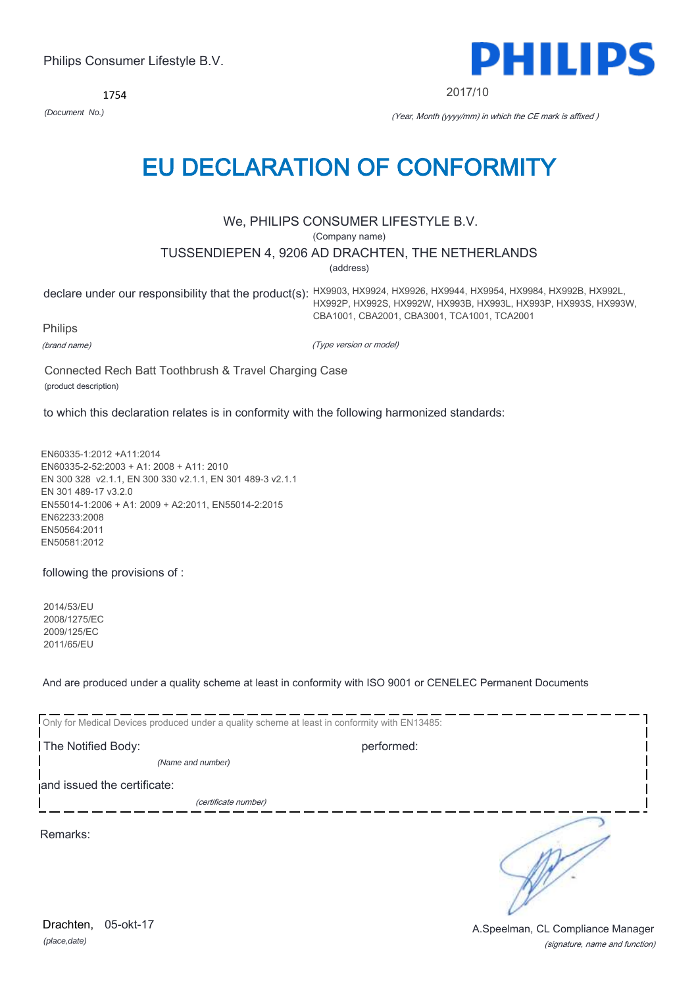1754



2017/10

*(Document No.)* (Year, Month (yyyy/mm) in which the CE mark is affixed )

# EU DECLARATION OF CONFORMITY

We, PHILIPS CONSUMER LIFESTYLE B.V.

(Company name)

TUSSENDIEPEN 4, 9206 AD DRACHTEN, THE NETHERLANDS

(address)

declare under our responsibility that the product(s): HX9903, HX9924, HX9926, HX9944, HX9954, HX9984, HX992B, HX992L, HX992P, HX992S, HX992W, HX993B, HX993L, HX993P, HX993S, HX993W, CBA1001, CBA2001, CBA3001, TCA1001, TCA2001

Philips

(brand name)

(Type version or model)

Connected Rech Batt Toothbrush & Travel Charging Case (product description)

to which this declaration relates is in conformity with the following harmonized standards:

EN60335-1:2012 +A11:2014 EN60335-2-52:2003 + A1: 2008 + A11: 2010 EN 300 328 v2.1.1, EN 300 330 v2.1.1, EN 301 489-3 v2.1.1 EN 301 489-17 v3.2.0 EN55014-1:2006 + A1: 2009 + A2:2011, EN55014-2:2015 EN62233:2008 EN50564:2011 EN50581:2012

following the provisions of :

2014/53/EU 2008/1275/EC 2009/125/EC 2011/65/EU

And are produced under a quality scheme at least in conformity with ISO 9001 or CENELEC Permanent Documents

| Only for Medical Devices produced under a quality scheme at least in conformity with EN13485: |            |  |
|-----------------------------------------------------------------------------------------------|------------|--|
| The Notified Body:                                                                            | performed: |  |
| (Name and number)                                                                             |            |  |
| and issued the certificate:                                                                   |            |  |
| (certificate number)                                                                          |            |  |
| Remarks:                                                                                      |            |  |

*(place,date)* Drachten, 05-okt-17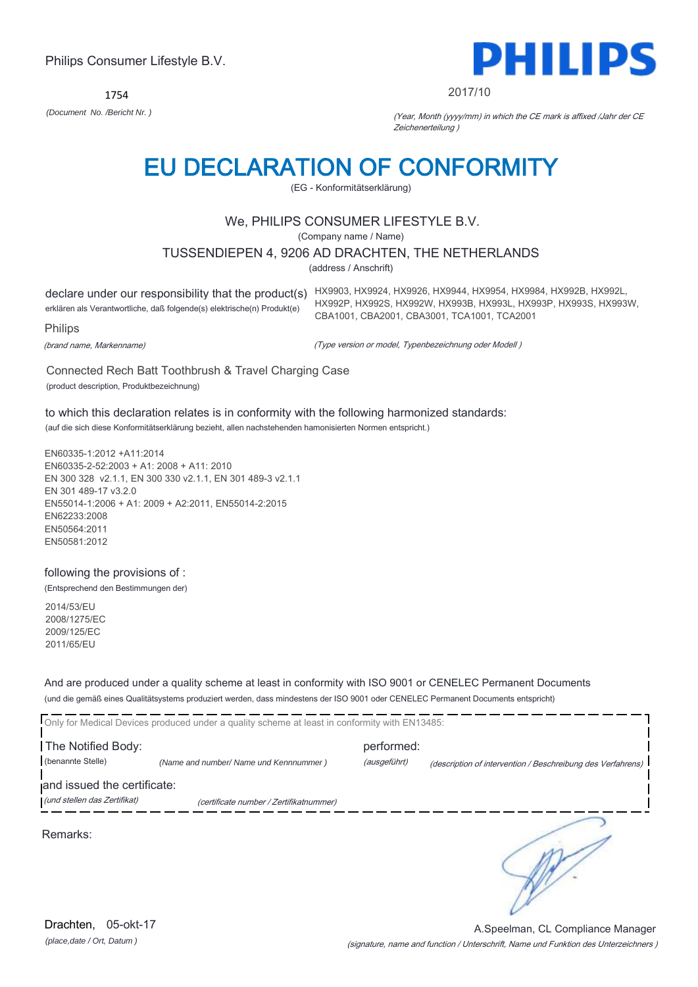1754



#### 2017/10

*(Document No. /Bericht Nr. )* (Year, Month (yyyy/mm) in which the CE mark is affixed /Jahr der CE Zeichenerteilung )

# EU DECLARATION OF CONFORMITY

(EG - Konformitätserklärung)

# We, PHILIPS CONSUMER LIFESTYLE B.V.

(Company name / Name)

### TUSSENDIEPEN 4, 9206 AD DRACHTEN, THE NETHERLANDS

(address / Anschrift)

declare under our responsibility that the product(s) HX9903, HX9924, HX9926, HX9944, HX9954, HX9984, HX992B, HX992L, erklären als Verantwortliche, daß folgende(s) elektrische(n) Produkt(e) Philips

HX992P, HX992S, HX992W, HX993B, HX993L, HX993P, HX993S, HX993W, CBA1001, CBA2001, CBA3001, TCA1001, TCA2001

(brand name, Markenname)

(Type version or model, Typenbezeichnung oder Modell )

Connected Rech Batt Toothbrush & Travel Charging Case (product description, Produktbezeichnung)

to which this declaration relates is in conformity with the following harmonized standards:

(auf die sich diese Konformitätserklärung bezieht, allen nachstehenden hamonisierten Normen entspricht.)

EN60335-1:2012 +A11:2014 EN60335-2-52:2003 + A1: 2008 + A11: 2010 EN 300 328 v2.1.1, EN 300 330 v2.1.1, EN 301 489-3 v2.1.1 EN 301 489-17 v3.2.0 EN55014-1:2006 + A1: 2009 + A2:2011, EN55014-2:2015 EN62233:2008 EN50564:2011 EN50581:2012

# following the provisions of :

(Entsprechend den Bestimmungen der)

2014/53/EU 2008/1275/EC 2009/125/EC 2011/65/EU

And are produced under a quality scheme at least in conformity with ISO 9001 or CENELEC Permanent Documents (und die gemäß eines Qualitätsystems produziert werden, dass mindestens der ISO 9001 oder CENELEC Permanent Documents entspricht)

|                                                             | Only for Medical Devices produced under a quality scheme at least in conformity with EN13485: |                            |                                                             |
|-------------------------------------------------------------|-----------------------------------------------------------------------------------------------|----------------------------|-------------------------------------------------------------|
| The Notified Body:<br>(benannte Stelle)                     | (Name and number/ Name und Kennnummer)                                                        | performed:<br>(ausgeführt) | (description of intervention / Beschreibung des Verfahrens) |
| and issued the certificate:<br>(und stellen das Zertifikat) | (certificate number / Zertifikatnummer)                                                       |                            |                                                             |
| Remarks:                                                    |                                                                                               |                            |                                                             |

*(place,date / Ort, Datum )* Drachten, 05-okt-17

(signature, name and function / Unterschrift, Name und Funktion des Unterzeichners ) A.Speelman, CL Compliance Manager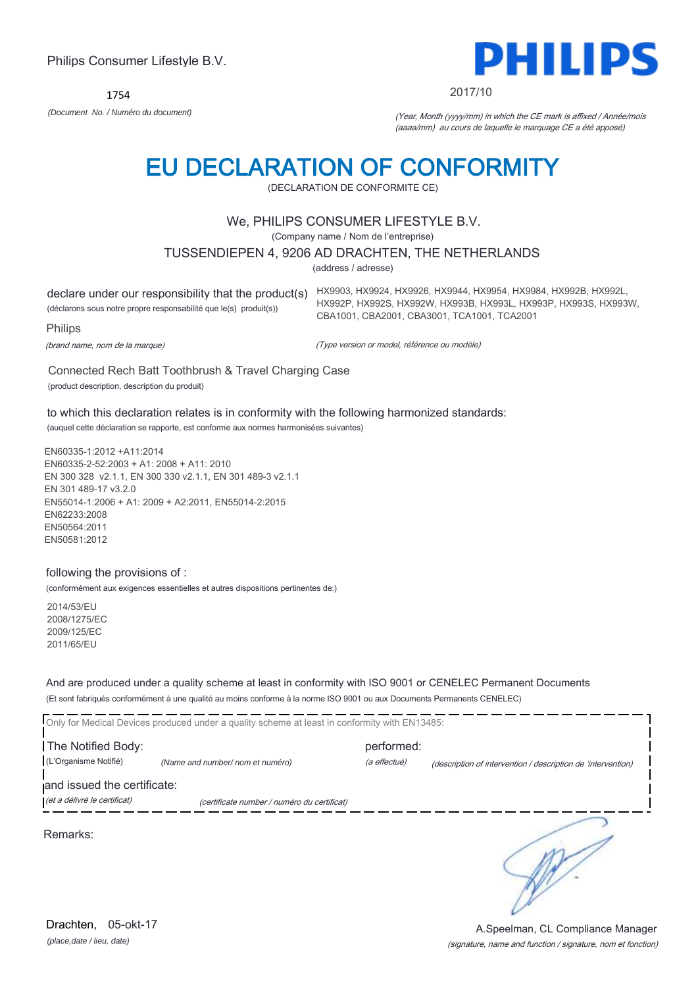1754



#### 2017/10

HX992P, HX992S, HX992W, HX993B, HX993L, HX993P, HX993S, HX993W,

*(Document No. / Numéro du document)* (Year, Month (yyyy/mm) in which the CE mark is affixed / Année/mois (aaaa/mm) au cours de laquelle le marquage CE a été apposé)

# EU DECLARATION OF CONFORMITY

(DECLARATION DE CONFORMITE CE)

# We, PHILIPS CONSUMER LIFESTYLE B.V.

(Company name / Nom de l'entreprise)

#### TUSSENDIEPEN 4, 9206 AD DRACHTEN, THE NETHERLANDS

(address / adresse)

declare under our responsibility that the product(s) HX9903, HX9924, HX9926, HX9944, HX9954, HX9984, HX992B, HX992L, (déclarons sous notre propre responsabilité que le(s) produit(s))

Philips

(brand name, nom de la marque)

(Type version or model, référence ou modèle)

CBA1001, CBA2001, CBA3001, TCA1001, TCA2001

Connected Rech Batt Toothbrush & Travel Charging Case (product description, description du produit)

to which this declaration relates is in conformity with the following harmonized standards: (auquel cette déclaration se rapporte, est conforme aux normes harmonisées suivantes)

EN60335-1:2012 +A11:2014 EN60335-2-52:2003 + A1: 2008 + A11: 2010 EN 300 328 v2.1.1, EN 300 330 v2.1.1, EN 301 489-3 v2.1.1 EN 301 489-17 v3.2.0 EN55014-1:2006 + A1: 2009 + A2:2011, EN55014-2:2015 EN62233:2008 EN50564:2011 EN50581:2012

### following the provisions of :

(conformément aux exigences essentielles et autres dispositions pertinentes de:)

2014/53/EU 2008/1275/EC 2009/125/EC 2011/65/EU

And are produced under a quality scheme at least in conformity with ISO 9001 or CENELEC Permanent Documents (Et sont fabriqués conformément à une qualité au moins conforme à la norme ISO 9001 ou aux Documents Permanents CENELEC)

|                                                             | Only for Medical Devices produced under a quality scheme at least in conformity with EN13485: |                            |                                                              |
|-------------------------------------------------------------|-----------------------------------------------------------------------------------------------|----------------------------|--------------------------------------------------------------|
| The Notified Body:<br>(L'Organisme Notifié)                 | (Name and number/nom et numéro)                                                               | performed:<br>(a effectué) | (description of intervention / description de 'intervention) |
| and issued the certificate:<br>(et a délivré le certificat) | (certificate number / numéro du certificat)                                                   |                            |                                                              |
| Remarks:                                                    |                                                                                               |                            |                                                              |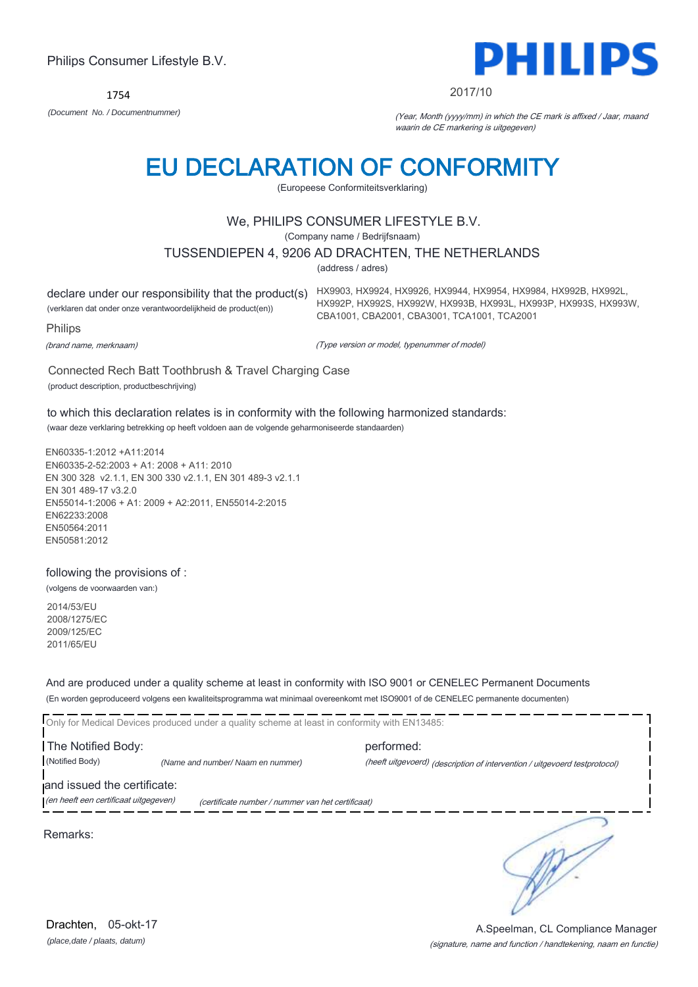1754



#### 2017/10

*(Document No. / Documentnummer)* (Year, Month (yyyy/mm) in which the CE mark is affixed / Jaar, maand waarin de CE markering is uitgegeven)

# EU DECLARATION OF CONFORMITY

(Europeese Conformiteitsverklaring)

# We, PHILIPS CONSUMER LIFESTYLE B.V.

(Company name / Bedrijfsnaam)

### TUSSENDIEPEN 4, 9206 AD DRACHTEN, THE NETHERLANDS

(address / adres)

(verklaren dat onder onze verantwoordelijkheid de product(en))

declare under our responsibility that the product(s) HX9903, HX9924, HX9926, HX9944, HX9954, HX9984, HX992B, HX992L, HX992P, HX992S, HX992W, HX993B, HX993L, HX993P, HX993S, HX993W, CBA1001, CBA2001, CBA3001, TCA1001, TCA2001

**Philips** 

(brand name, merknaam)

(Type version or model, typenummer of model)

Connected Rech Batt Toothbrush & Travel Charging Case (product description, productbeschrijving)

to which this declaration relates is in conformity with the following harmonized standards: (waar deze verklaring betrekking op heeft voldoen aan de volgende geharmoniseerde standaarden)

EN60335-1:2012 +A11:2014 EN60335-2-52:2003 + A1: 2008 + A11: 2010 EN 300 328 v2.1.1, EN 300 330 v2.1.1, EN 301 489-3 v2.1.1 EN 301 489-17 v3.2.0 EN55014-1:2006 + A1: 2009 + A2:2011, EN55014-2:2015 EN62233:2008 EN50564:2011 EN50581:2012

### following the provisions of :

(volgens de voorwaarden van:)

2014/53/EU 2008/1275/EC 2009/125/EC 2011/65/EU

And are produced under a quality scheme at least in conformity with ISO 9001 or CENELEC Permanent Documents (En worden geproduceerd volgens een kwaliteitsprogramma wat minimaal overeenkomt met ISO9001 of de CENELEC permanente documenten)

Only for Medical Devices produced under a quality scheme at least in conformity with EN13485: The Notified Body: performed: (Notified Body) *(Name and number/ Naam en nummer)* (heeft uitgevoerd) (description of intervention / uitgevoerd testprotocol) and issued the certificate: (en heeft een certificaat uitgegeven) (certificate number / nummer van het certificaat) ∍ Remarks:

*(place,date / plaats, datum)* Drachten. 05-okt-17

#### (signature, name and function / handtekening, naam en functie) A.Speelman, CL Compliance Manager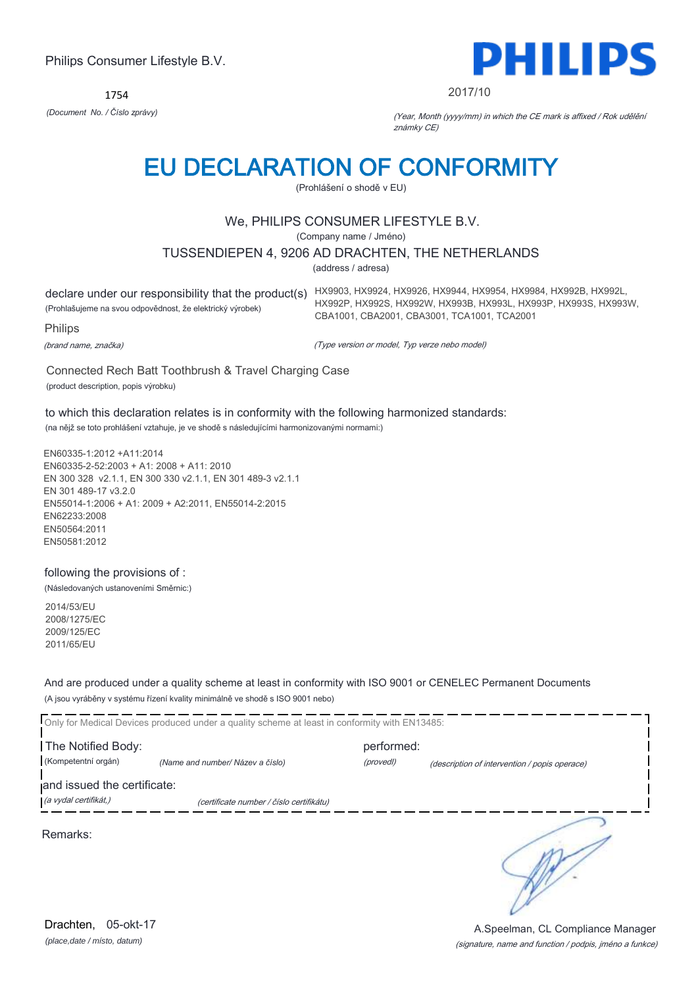1754



#### 2017/10

*(Document No. / Číslo zprávy)* (Year, Month (yyyy/mm) in which the CE mark is affixed / Rok udělění známky CE)

# EU DECLARATION OF CONFORMITY

(Prohlášení o shodě v EU)

# We, PHILIPS CONSUMER LIFESTYLE B.V.

(Company name / Jméno)

### TUSSENDIEPEN 4, 9206 AD DRACHTEN, THE NETHERLANDS

(address / adresa)

(Prohlašujeme na svou odpovědnost, že elektrický výrobek)

declare under our responsibility that the product(s) HX9903, HX9924, HX9926, HX9944, HX9954, HX9984, HX992B, HX992L, HX992P, HX992S, HX992W, HX993B, HX993L, HX993P, HX993S, HX993W, CBA1001, CBA2001, CBA3001, TCA1001, TCA2001

Philips

(brand name, značka)

(Type version or model, Typ verze nebo model)

Connected Rech Batt Toothbrush & Travel Charging Case (product description, popis výrobku)

to which this declaration relates is in conformity with the following harmonized standards:

(na nějž se toto prohlášení vztahuje, je ve shodě s následujícími harmonizovanými normami:)

EN60335-1:2012 +A11:2014 EN60335-2-52:2003 + A1: 2008 + A11: 2010 EN 300 328 v2.1.1, EN 300 330 v2.1.1, EN 301 489-3 v2.1.1 EN 301 489-17 v3.2.0 EN55014-1:2006 + A1: 2009 + A2:2011, EN55014-2:2015 EN62233:2008 EN50564:2011 EN50581:2012

### following the provisions of :

(Následovaných ustanoveními Směrnic:)

2014/53/EU 2008/1275/EC 2009/125/EC 2011/65/EU

And are produced under a quality scheme at least in conformity with ISO 9001 or CENELEC Permanent Documents (A jsou vyráběny v systému řízení kvality minimálně ve shodě s ISO 9001 nebo)

|                             | Only for Medical Devices produced under a quality scheme at least in conformity with EN13485: |            |                                               |
|-----------------------------|-----------------------------------------------------------------------------------------------|------------|-----------------------------------------------|
| The Notified Body:          |                                                                                               | performed: |                                               |
| (Kompetentní orgán)         | (Name and number/ Název a číslo)                                                              | (provedl)  | (description of intervention / popis operace) |
| and issued the certificate: |                                                                                               |            |                                               |
| (a vydal certifikát,)       | (certificate number / číslo certifikátu)                                                      |            |                                               |
| Remarks:                    |                                                                                               |            |                                               |

*(place,date / místo, datum)* Drachten, 05-okt-17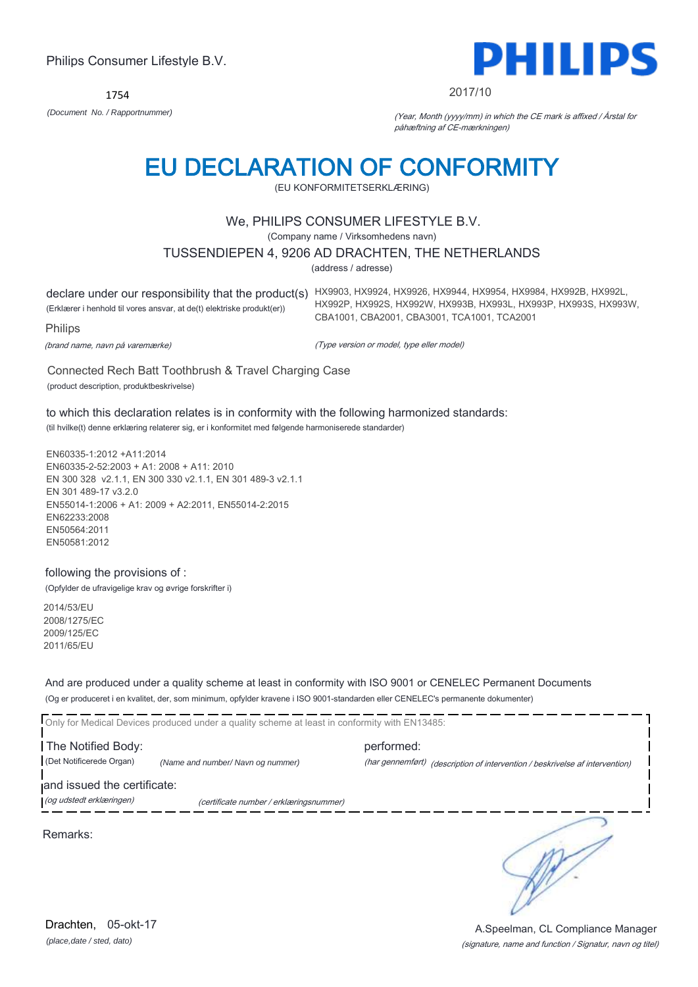1754



#### 2017/10

*(Document No. / Rapportnummer)* (Year, Month (yyyy/mm) in which the CE mark is affixed / Årstal for påhæftning af CE-mærkningen)

# EU DECLARATION OF CONFORMITY

(EU KONFORMITETSERKLÆRING)

# We, PHILIPS CONSUMER LIFESTYLE B.V.

(Company name / Virksomhedens navn)

### TUSSENDIEPEN 4, 9206 AD DRACHTEN, THE NETHERLANDS

(address / adresse)

declare under our responsibility that the product(s) HX9903, HX9924, HX9926, HX9944, HX9954, HX9984, HX992B, HX992L, (Erklærer i henhold til vores ansvar, at de(t) elektriske produkt(er)) Philips HX992P, HX992S, HX992W, HX993B, HX993L, HX993P, HX993S, HX993W, CBA1001, CBA2001, CBA3001, TCA1001, TCA2001

(brand name, navn på varemærke)

(Type version or model, type eller model)

Connected Rech Batt Toothbrush & Travel Charging Case (product description, produktbeskrivelse)

to which this declaration relates is in conformity with the following harmonized standards: (til hvilke(t) denne erklæring relaterer sig, er i konformitet med følgende harmoniserede standarder)

EN60335-1:2012 +A11:2014 EN60335-2-52:2003 + A1: 2008 + A11: 2010 EN 300 328 v2.1.1, EN 300 330 v2.1.1, EN 301 489-3 v2.1.1 EN 301 489-17 v3.2.0 EN55014-1:2006 + A1: 2009 + A2:2011, EN55014-2:2015 EN62233:2008 EN50564:2011 EN50581:2012

#### following the provisions of :

(Opfylder de ufravigelige krav og øvrige forskrifter i)

2014/53/EU 2008/1275/EC 2009/125/EC 2011/65/EU

And are produced under a quality scheme at least in conformity with ISO 9001 or CENELEC Permanent Documents (Og er produceret i en kvalitet, der, som minimum, opfylder kravene i ISO 9001-standarden eller CENELEC's permanente dokumenter)

Only for Medical Devices produced under a quality scheme at least in conformity with EN13485: The Notified Body: example and the performed: (Det Notificerede Organ) *(Name and number/ Navn og nummer)* (har gennemført) (description of intervention / beskrivelse af intervention) and issued the certificate: (og udstedt erklæringen) (certificate number / erklæringsnummer)

Remarks:

∍

*(place,date / sted, dato)* Drachten. 05-okt-17

#### (signature, name and function / Signatur, navn og titel) A.Speelman, CL Compliance Manager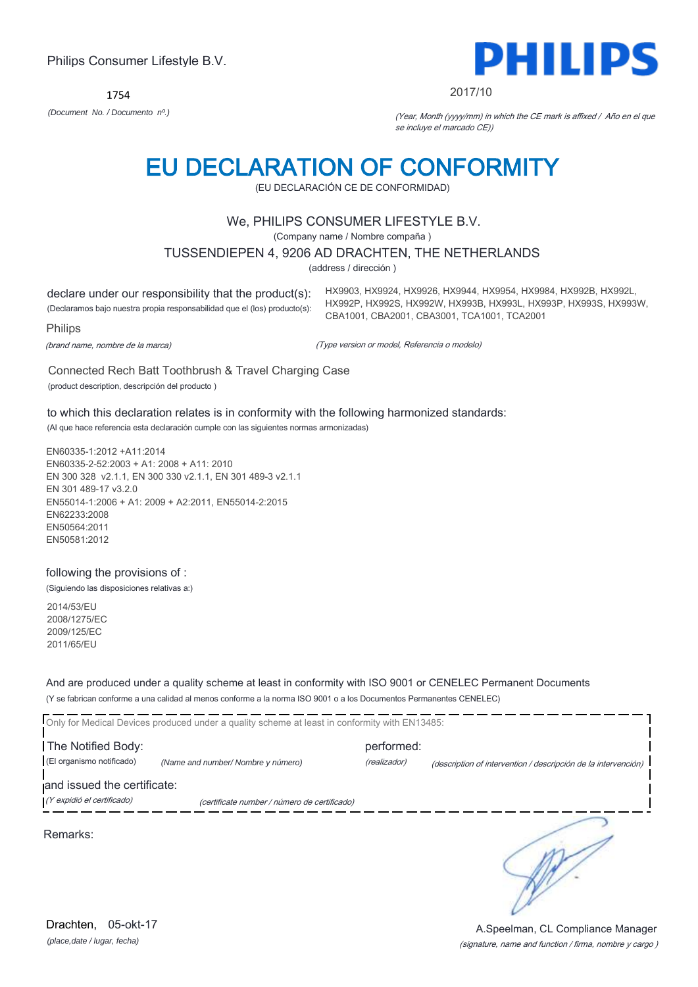1754



#### 2017/10

HX9903, HX9924, HX9926, HX9944, HX9954, HX9984, HX992B, HX992L, HX992P, HX992S, HX992W, HX993B, HX993L, HX993P, HX993S, HX993W,

*(Document No. / Documento nº.)* (Year, Month (yyyy/mm) in which the CE mark is affixed / Año en el que se incluye el marcado CE))

# EU DECLARATION OF CONFORMITY

(EU DECLARACIÓN CE DE CONFORMIDAD)

# We, PHILIPS CONSUMER LIFESTYLE B.V.

(Company name / Nombre compaña )

#### TUSSENDIEPEN 4, 9206 AD DRACHTEN, THE NETHERLANDS

(address / dirección )

declare under our responsibility that the product(s): (Declaramos bajo nuestra propia responsabilidad que el (los) producto(s):

Philips

(brand name, nombre de la marca)

(Type version or model, Referencia o modelo)

CBA1001, CBA2001, CBA3001, TCA1001, TCA2001

Connected Rech Batt Toothbrush & Travel Charging Case (product description, descripción del producto )

to which this declaration relates is in conformity with the following harmonized standards:

(Al que hace referencia esta declaración cumple con las siguientes normas armonizadas)

EN60335-1:2012 +A11:2014 EN60335-2-52:2003 + A1: 2008 + A11: 2010 EN 300 328 v2.1.1, EN 300 330 v2.1.1, EN 301 489-3 v2.1.1 EN 301 489-17 v3.2.0 EN55014-1:2006 + A1: 2009 + A2:2011, EN55014-2:2015 EN62233:2008 EN50564:2011 EN50581:2012

### following the provisions of :

(Siguiendo las disposiciones relativas a:)

2014/53/EU 2008/1275/EC 2009/125/EC 2011/65/EU

And are produced under a quality scheme at least in conformity with ISO 9001 or CENELEC Permanent Documents (Y se fabrican conforme a una calidad al menos conforme a la norma ISO 9001 o a los Documentos Permanentes CENELEC)

|                                                           | Only for Medical Devices produced under a quality scheme at least in conformity with EN13485: |              |                                                                |
|-----------------------------------------------------------|-----------------------------------------------------------------------------------------------|--------------|----------------------------------------------------------------|
| The Notified Body:                                        |                                                                                               | performed:   |                                                                |
| (El organismo notificado)                                 | (Name and number/ Nombre y número)                                                            | (realizador) | (description of intervention / descripción de la intervención) |
| and issued the certificate:<br>(Y expidió el certificado) | (certificate number / número de certificado)                                                  |              |                                                                |
| Remarks:                                                  |                                                                                               |              |                                                                |

(signature, name and function / firma, nombre y cargo ) A.Speelman, CL Compliance Manager

*(place,date / lugar, fecha)* Drachten, 05-okt-17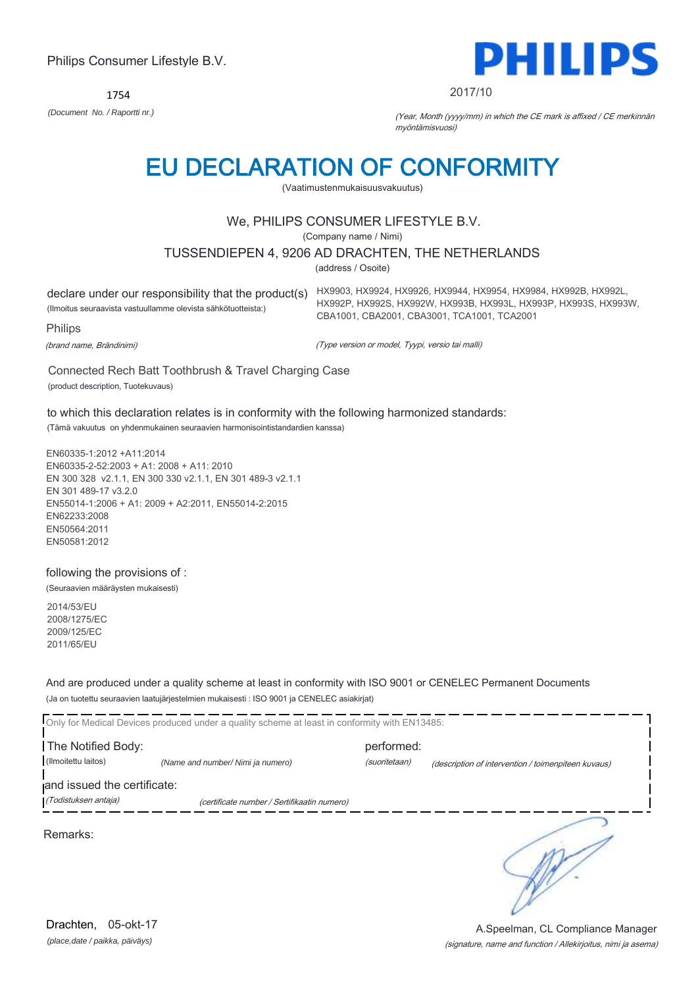1754



#### 2017/10

*(Document No. / Raportti nr.)* (Year, Month (yyyy/mm) in which the CE mark is affixed / CE merkinnän myöntämisvuosi)

# EU DECLARATION OF CONFORMITY

(Vaatimustenmukaisuusvakuutus)

# We, PHILIPS CONSUMER LIFESTYLE B.V.

(Company name / Nimi)

### TUSSENDIEPEN 4, 9206 AD DRACHTEN, THE NETHERLANDS

(address / Osoite)

(Ilmoitus seuraavista vastuullamme olevista sähkötuotteista:)

declare under our responsibility that the product(s) HX9903, HX9924, HX9926, HX9944, HX9954, HX9984, HX992B, HX992L, HX992P, HX992S, HX992W, HX993B, HX993L, HX993P, HX993S, HX993W, CBA1001, CBA2001, CBA3001, TCA1001, TCA2001

**Philips** 

(brand name, Brändinimi)

(Type version or model, Tyypi, versio tai malli)

Connected Rech Batt Toothbrush & Travel Charging Case (product description, Tuotekuvaus)

## to which this declaration relates is in conformity with the following harmonized standards:

(Tämä vakuutus on yhdenmukainen seuraavien harmonisointistandardien kanssa)

EN60335-1:2012 +A11:2014 EN60335-2-52:2003 + A1: 2008 + A11: 2010 EN 300 328 v2.1.1, EN 300 330 v2.1.1, EN 301 489-3 v2.1.1 EN 301 489-17 v3.2.0 EN55014-1:2006 + A1: 2009 + A2:2011, EN55014-2:2015 EN62233:2008 EN50564:2011 EN50581:2012

following the provisions of :

(Seuraavien määräysten mukaisesti)

2014/53/EU 2008/1275/EC 2009/125/EC 2011/65/EU

And are produced under a quality scheme at least in conformity with ISO 9001 or CENELEC Permanent Documents (Ja on tuotettu seuraavien laatujärjestelmien mukaisesti : ISO 9001 ja CENELEC asiakirjat)

|                             | Only for Medical Devices produced under a quality scheme at least in conformity with EN13485: |               |                                                     |
|-----------------------------|-----------------------------------------------------------------------------------------------|---------------|-----------------------------------------------------|
| The Notified Body:          |                                                                                               | performed:    |                                                     |
| (Ilmoitettu laitos)         | (Name and number/ Nimi ja numero)                                                             | (suoritetaan) | (description of intervention / toimenpiteen kuvaus) |
| and issued the certificate: |                                                                                               |               |                                                     |
| (Todistuksen antaja)        | (certificate number / Sertifikaatin numero)                                                   |               |                                                     |
| Remarks:                    |                                                                                               |               |                                                     |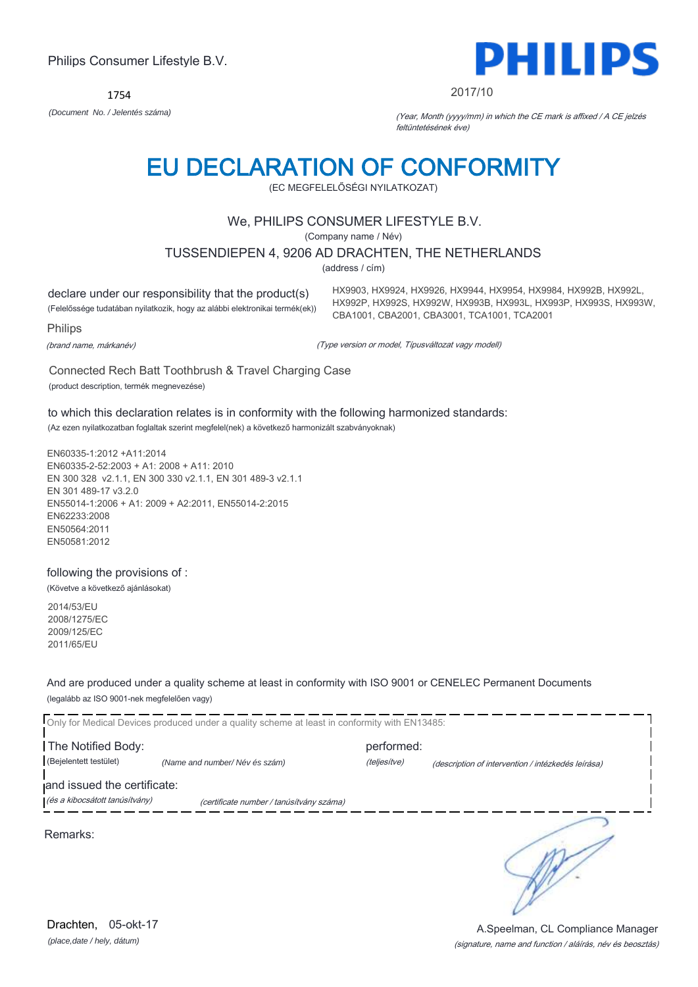1754



#### 2017/10

*(Document No. / Jelentés száma)* (Year, Month (yyyy/mm) in which the CE mark is affixed / A CE jelzés feltüntetésének éve)

# EU DECLARATION OF CONFORMITY

(EC MEGFELELŐSÉGI NYILATKOZAT)

# We, PHILIPS CONSUMER LIFESTYLE B.V.

(Company name / Név)

TUSSENDIEPEN 4, 9206 AD DRACHTEN, THE NETHERLANDS

(address / cím)

declare under our responsibility that the product(s) (Felelőssége tudatában nyilatkozik, hogy az alábbi elektronikai termék(ek)) HX9903, HX9924, HX9926, HX9944, HX9954, HX9984, HX992B, HX992L, HX992P, HX992S, HX992W, HX993B, HX993L, HX993P, HX993S, HX993W, CBA1001, CBA2001, CBA3001, TCA1001, TCA2001

Philips

(brand name, márkanév)

(Type version or model, Típusváltozat vagy modell)

Connected Rech Batt Toothbrush & Travel Charging Case (product description, termék megnevezése)

to which this declaration relates is in conformity with the following harmonized standards: (Az ezen nyilatkozatban foglaltak szerint megfelel(nek) a következő harmonizált szabványoknak)

EN60335-1:2012 +A11:2014 EN60335-2-52:2003 + A1: 2008 + A11: 2010 EN 300 328 v2.1.1, EN 300 330 v2.1.1, EN 301 489-3 v2.1.1 EN 301 489-17 v3.2.0 EN55014-1:2006 + A1: 2009 + A2:2011, EN55014-2:2015 EN62233:2008 EN50564:2011 EN50581:2012

following the provisions of :

(Követve a következő ajánlásokat)

2014/53/EU 2008/1275/EC 2009/125/EC 2011/65/EU

And are produced under a quality scheme at least in conformity with ISO 9001 or CENELEC Permanent Documents (legalább az ISO 9001-nek megfelelően vagy)

|                                | Only for Medical Devices produced under a quality scheme at least in conformity with EN13485: |              |                                                    |
|--------------------------------|-----------------------------------------------------------------------------------------------|--------------|----------------------------------------------------|
| The Notified Body:             |                                                                                               | performed:   |                                                    |
| (Bejelentett testület)         | (Name and number/Név és szám)                                                                 | (teljesítve) | (description of intervention / intézkedés leírása) |
| and issued the certificate:    |                                                                                               |              |                                                    |
| (és a kibocsátott tanúsítvány) | (certificate number / tanúsítvány száma)                                                      |              |                                                    |
| Remarks:                       |                                                                                               |              |                                                    |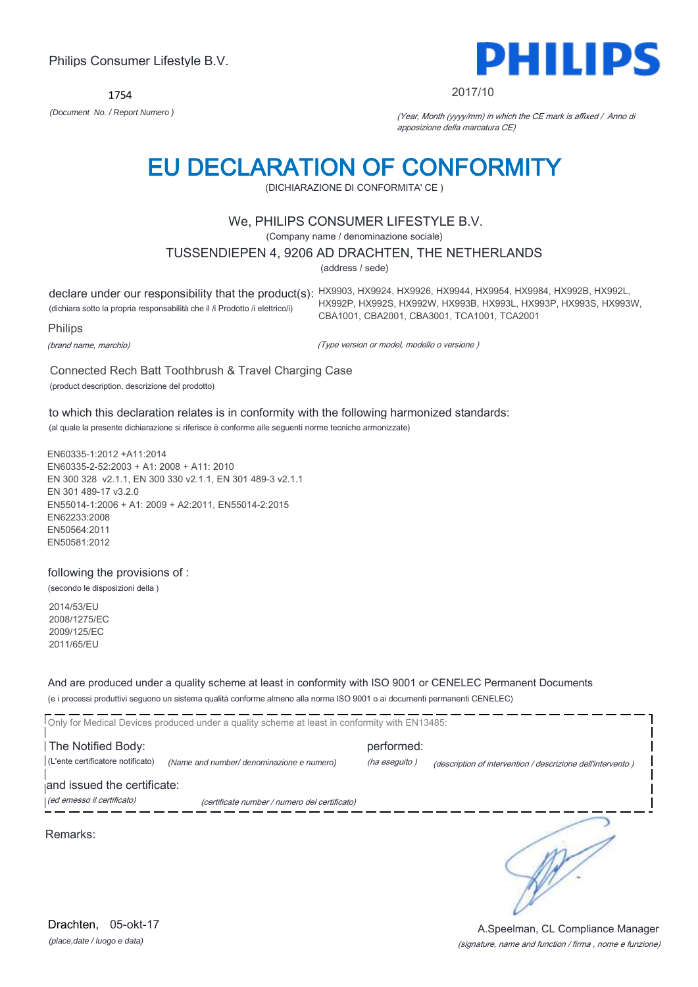1754



#### 2017/10

*(Document No. / Report Numero )* (Year, Month (yyyy/mm) in which the CE mark is affixed / Anno di apposizione della marcatura CE)

# EU DECLARATION OF CONFORMITY

(DICHIARAZIONE DI CONFORMITA' CE )

# We, PHILIPS CONSUMER LIFESTYLE B.V.

(Company name / denominazione sociale)

### TUSSENDIEPEN 4, 9206 AD DRACHTEN, THE NETHERLANDS

(address / sede)

(dichiara sotto la propria responsabilità che il /i Prodotto /i elettrico/i)

declare under our responsibility that the product(s): HX9903, HX9924, HX9926, HX9944, HX9954, HX9984, HX992B, HX992L, HX992P, HX992S, HX992W, HX993B, HX993L, HX993P, HX993S, HX993W, CBA1001, CBA2001, CBA3001, TCA1001, TCA2001

Philips

(brand name, marchio)

(Type version or model, modello o versione )

Connected Rech Batt Toothbrush & Travel Charging Case (product description, descrizione del prodotto)

to which this declaration relates is in conformity with the following harmonized standards: (al quale la presente dichiarazione si riferisce è conforme alle seguenti norme tecniche armonizzate)

EN60335-1:2012 +A11:2014 EN60335-2-52:2003 + A1: 2008 + A11: 2010 EN 300 328 v2.1.1, EN 300 330 v2.1.1, EN 301 489-3 v2.1.1 EN 301 489-17 v3.2.0 EN55014-1:2006 + A1: 2009 + A2:2011, EN55014-2:2015 EN62233:2008 EN50564:2011 EN50581:2012

following the provisions of :

(secondo le disposizioni della )

2014/53/EU 2008/1275/EC 2009/125/EC 2011/65/EU

And are produced under a quality scheme at least in conformity with ISO 9001 or CENELEC Permanent Documents (e i processi produttivi seguono un sistema qualità conforme almeno alla norma ISO 9001 o ai documenti permanenti CENELEC)

|                                   | Only for Medical Devices produced under a quality scheme at least in conformity with EN13485: |               |                                                             |
|-----------------------------------|-----------------------------------------------------------------------------------------------|---------------|-------------------------------------------------------------|
| The Notified Body:                |                                                                                               | performed:    |                                                             |
| (L'ente certificatore notificato) | (Name and number/ denominazione e numero)                                                     | (ha eseguito) | (description of intervention / descrizione dell'intervento) |
| and issued the certificate:       |                                                                                               |               |                                                             |
| (ed emesso il certificato)        | (certificate number / numero del certificato)                                                 |               |                                                             |
| Remarks:                          |                                                                                               |               |                                                             |

*(place,date / luogo e data)* Drachten, 05-okt-17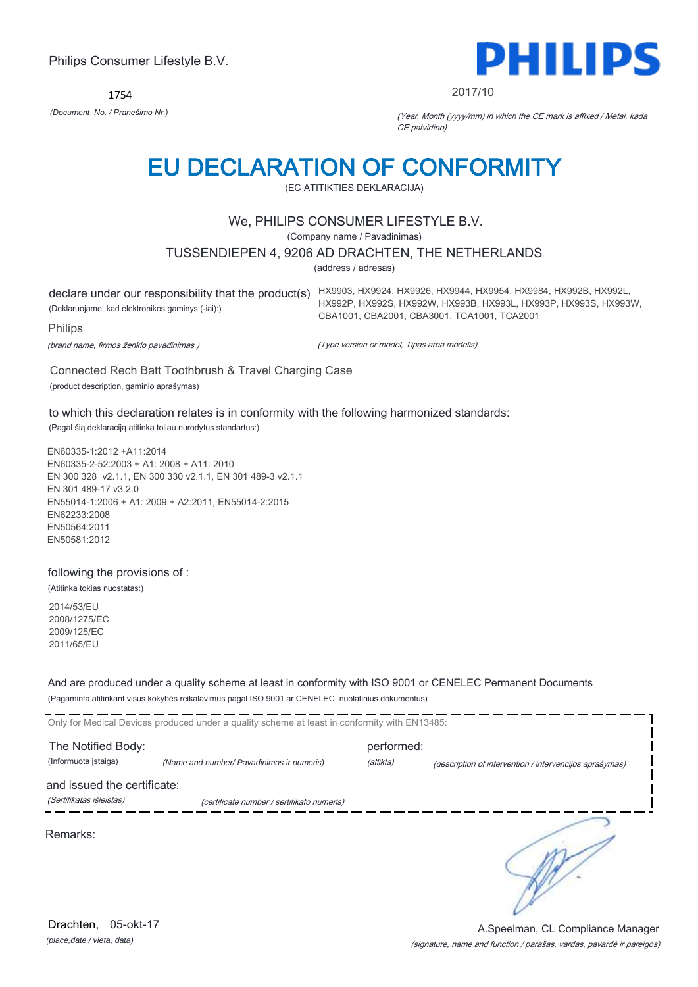1754



#### 2017/10

*(Document No. / Pranešimo Nr.)* (Year, Month (yyyy/mm) in which the CE mark is affixed / Metai, kada CE patvirtino)

# EU DECLARATION OF CONFORMITY

(EC ATITIKTIES DEKLARACIJA)

## We, PHILIPS CONSUMER LIFESTYLE B.V.

(Company name / Pavadinimas)

#### TUSSENDIEPEN 4, 9206 AD DRACHTEN, THE NETHERLANDS

(address / adresas)

declare under our responsibility that the product(s) HX9903, HX9924, HX9926, HX9944, HX9954, HX9984, HX992B, HX992L, (Deklaruojame, kad elektronikos gaminys (-iai):) HX992P, HX992S, HX992W, HX993B, HX993L, HX993P, HX993S, HX993W, CBA1001, CBA2001, CBA3001, TCA1001, TCA2001

Philips

(brand name, firmos ženklo pavadinimas )

(Type version or model, Tipas arba modelis)

Connected Rech Batt Toothbrush & Travel Charging Case (product description, gaminio aprašymas)

to which this declaration relates is in conformity with the following harmonized standards:

(Pagal šią deklaraciją atitinka toliau nurodytus standartus:)

EN60335-1:2012 +A11:2014 EN60335-2-52:2003 + A1: 2008 + A11: 2010 EN 300 328 v2.1.1, EN 300 330 v2.1.1, EN 301 489-3 v2.1.1 EN 301 489-17 v3.2.0 EN55014-1:2006 + A1: 2009 + A2:2011, EN55014-2:2015 EN62233:2008 EN50564:2011 EN50581:2012

### following the provisions of :

(Atitinka tokias nuostatas:)

2014/53/EU 2008/1275/EC 2009/125/EC 2011/65/EU

And are produced under a quality scheme at least in conformity with ISO 9001 or CENELEC Permanent Documents (Pagaminta atitinkant visus kokybės reikalavimus pagal ISO 9001 ar CENELEC nuolatinius dokumentus)

|                                            | Only for Medical Devices produced under a quality scheme at least in conformity with EN13485: |                         |                                                         |
|--------------------------------------------|-----------------------------------------------------------------------------------------------|-------------------------|---------------------------------------------------------|
| The Notified Body:<br>(Informuota istaiga) | (Name and number/ Pavadinimas ir numeris)                                                     | performed:<br>(atlikta) | (description of intervention / intervencijos aprašymas) |
| and issued the certificate:                |                                                                                               |                         |                                                         |
| (Sertifikatas išleistas)                   | (certificate number / sertifikato numeris)                                                    |                         |                                                         |
| Remarks:                                   |                                                                                               |                         |                                                         |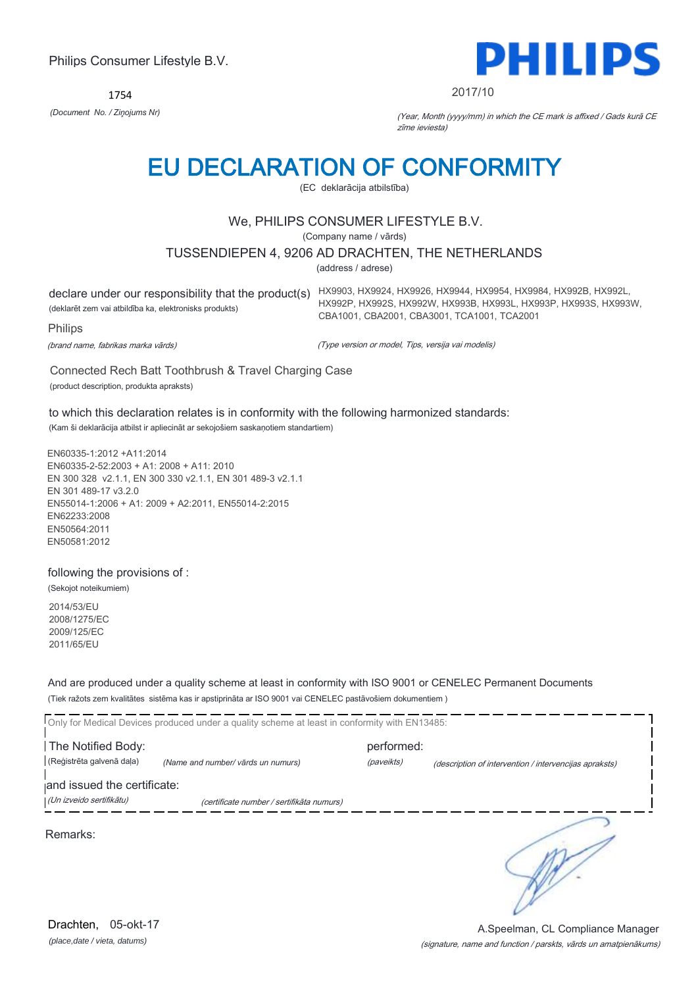1754



#### 2017/10

HX992P, HX992S, HX992W, HX993B, HX993L, HX993P, HX993S, HX993W,

*(Document No. / Ziņojums Nr)* (Year, Month (yyyy/mm) in which the CE mark is affixed / Gads kurā CE zīme ieviesta)

# EU DECLARATION OF CONFORMITY

(EC deklarācija atbilstība)

# We, PHILIPS CONSUMER LIFESTYLE B.V.

(Company name / vārds)

#### TUSSENDIEPEN 4, 9206 AD DRACHTEN, THE NETHERLANDS

(address / adrese)

declare under our responsibility that the product(s) HX9903, HX9924, HX9926, HX9944, HX9954, HX9984, HX992B, HX992L, (deklarēt zem vai atbildība ka, elektronisks produkts)

Philips

(brand name, fabrikas marka vārds)

(Type version or model, Tips, versija vai modelis)

CBA1001, CBA2001, CBA3001, TCA1001, TCA2001

Connected Rech Batt Toothbrush & Travel Charging Case (product description, produkta apraksts)

to which this declaration relates is in conformity with the following harmonized standards: (Kam ši deklarācija atbilst ir apliecināt ar sekojošiem saskaņotiem standartiem)

EN60335-1:2012 +A11:2014 EN60335-2-52:2003 + A1: 2008 + A11: 2010 EN 300 328 v2.1.1, EN 300 330 v2.1.1, EN 301 489-3 v2.1.1 EN 301 489-17 v3.2.0 EN55014-1:2006 + A1: 2009 + A2:2011, EN55014-2:2015 EN62233:2008 EN50564:2011 EN50581:2012

### following the provisions of :

(Sekojot noteikumiem)

2014/53/EU 2008/1275/EC 2009/125/EC 2011/65/EU

And are produced under a quality scheme at least in conformity with ISO 9001 or CENELEC Permanent Documents (Tiek ražots zem kvalitātes sistēma kas ir apstiprināta ar ISO 9001 vai CENELEC pastāvošiem dokumentiem )

|                             | Only for Medical Devices produced under a quality scheme at least in conformity with EN13485: |            |                                                        |
|-----------------------------|-----------------------------------------------------------------------------------------------|------------|--------------------------------------------------------|
| The Notified Body:          |                                                                                               | performed: |                                                        |
| (Reģistrēta galvenā daļa)   | (Name and number/ vārds un numurs)                                                            | (paveikts) | (description of intervention / intervencijas apraksts) |
| and issued the certificate: |                                                                                               |            |                                                        |
| (Un izveido sertifikātu)    | (certificate number / sertifikāta numurs)                                                     |            |                                                        |
| Remarks:                    |                                                                                               |            |                                                        |

*(place,date / vieta, datums)* Drachten, 05-okt-17

#### (signature, name and function / parskts, vārds un amatpienākums) A.Speelman, CL Compliance Manager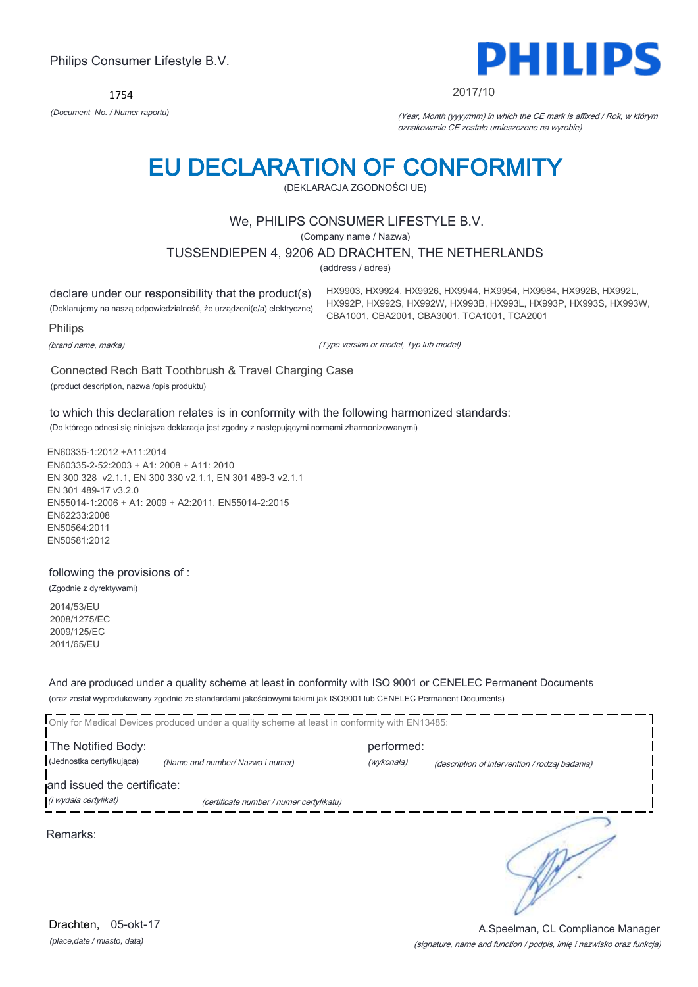1754



#### 2017/10

HX9903, HX9924, HX9926, HX9944, HX9954, HX9984, HX992B, HX992L, HX992P, HX992S, HX992W, HX993B, HX993L, HX993P, HX993S, HX993W,

CBA1001, CBA2001, CBA3001, TCA1001, TCA2001

*(Document No. / Numer raportu)* (Year, Month (yyyy/mm) in which the CE mark is affixed / Rok, w którym oznakowanie CE zostało umieszczone na wyrobie)

# EU DECLARATION OF CONFORMITY

(DEKLARACJA ZGODNOŚCI UE)

# We, PHILIPS CONSUMER LIFESTYLE B.V.

(Company name / Nazwa)

### TUSSENDIEPEN 4, 9206 AD DRACHTEN, THE NETHERLANDS

(address / adres)

declare under our responsibility that the product(s) (Deklarujemy na naszą odpowiedzialność, że urządzeni(e/a) elektryczne)

Philips

(brand name, marka)

(Type version or model, Typ lub model)

Connected Rech Batt Toothbrush & Travel Charging Case (product description, nazwa /opis produktu)

to which this declaration relates is in conformity with the following harmonized standards: (Do którego odnosi się niniejsza deklaracja jest zgodny z następującymi normami zharmonizowanymi)

EN60335-1:2012 +A11:2014 EN60335-2-52:2003 + A1: 2008 + A11: 2010 EN 300 328 v2.1.1, EN 300 330 v2.1.1, EN 301 489-3 v2.1.1 EN 301 489-17 v3.2.0 EN55014-1:2006 + A1: 2009 + A2:2011, EN55014-2:2015 EN62233:2008 EN50564:2011 EN50581:2012

### following the provisions of :

(Zgodnie z dyrektywami)

2014/53/EU 2008/1275/EC 2009/125/EC 2011/65/EU

And are produced under a quality scheme at least in conformity with ISO 9001 or CENELEC Permanent Documents (oraz został wyprodukowany zgodnie ze standardami jakościowymi takimi jak ISO9001 lub CENELEC Permanent Documents)

|                             | Only for Medical Devices produced under a quality scheme at least in conformity with EN13485: |            |                                                |
|-----------------------------|-----------------------------------------------------------------------------------------------|------------|------------------------------------------------|
| The Notified Body:          |                                                                                               | performed: |                                                |
| (Jednostka certyfikująca)   | (Name and number/ Nazwa i numer)                                                              | (wykonała) | (description of intervention / rodzaj badania) |
| and issued the certificate: |                                                                                               |            |                                                |
| (i wydała certyfikat)       | (certificate number / numer certyfikatu)                                                      |            |                                                |
| Remarks:                    |                                                                                               |            |                                                |

A.Speelman, CL Compliance Manager

*(place,date / miasto, data)* Drachten, 05-okt-17

# (signature, name and function / podpis, imię i nazwisko oraz funkcja)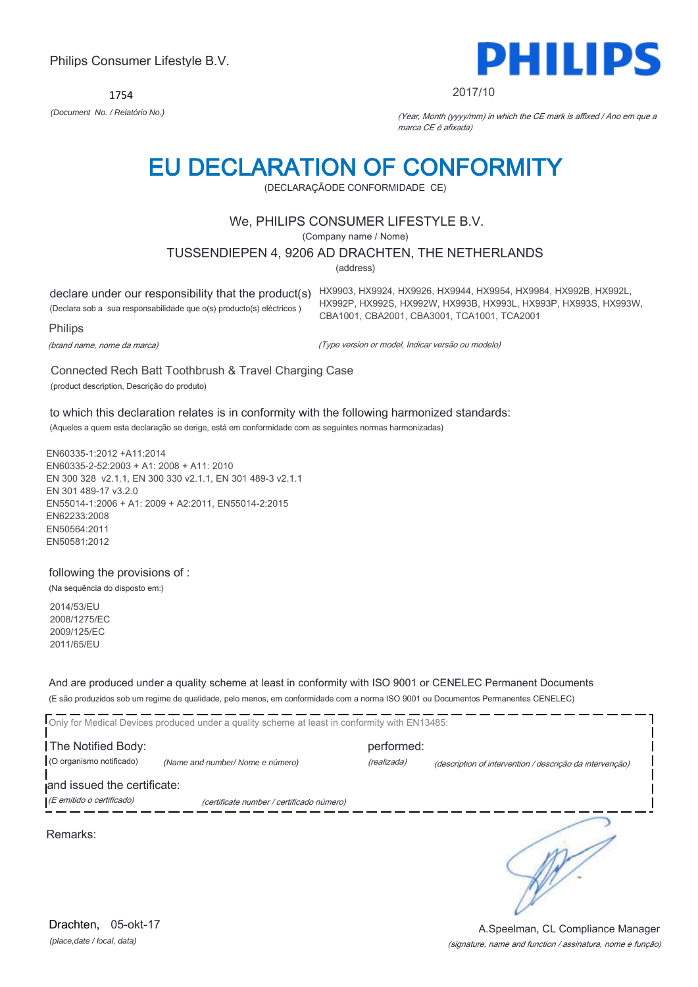1754



#### 2017/10

HX992P, HX992S, HX992W, HX993B, HX993L, HX993P, HX993S, HX993W,

*(Document No. / Relatório No.)* (Year, Month (yyyy/mm) in which the CE mark is affixed / Ano em que a marca CE é afixada)

# EU DECLARATION OF CONFORMITY

(DECLARAÇÃODE CONFORMIDADE CE)

# We, PHILIPS CONSUMER LIFESTYLE B.V.

(Company name / Nome)

### TUSSENDIEPEN 4, 9206 AD DRACHTEN, THE NETHERLANDS

(address)

declare under our responsibility that the product(s) HX9903, HX9924, HX9926, HX9944, HX9954, HX9984, HX992B, HX992L,

(Declara sob a sua responsabilidade que o(s) producto(s) eléctricos )

Philips

(brand name, nome da marca)

(Type version or model, Indicar versão ou modelo)

CBA1001, CBA2001, CBA3001, TCA1001, TCA2001

Connected Rech Batt Toothbrush & Travel Charging Case (product description, Descrição do produto)

to which this declaration relates is in conformity with the following harmonized standards: (Aqueles a quem esta declaração se derige, está em conformidade com as seguintes normas harmonizadas)

EN60335-1:2012 +A11:2014 EN60335-2-52:2003 + A1: 2008 + A11: 2010 EN 300 328 v2.1.1, EN 300 330 v2.1.1, EN 301 489-3 v2.1.1 EN 301 489-17 v3.2.0 EN55014-1:2006 + A1: 2009 + A2:2011, EN55014-2:2015 EN62233:2008 EN50564:2011 EN50581:2012

### following the provisions of :

(Na sequência do disposto em:)

2014/53/EU 2008/1275/EC 2009/125/EC 2011/65/EU

And are produced under a quality scheme at least in conformity with ISO 9001 or CENELEC Permanent Documents (E são produzidos sob um regime de qualidade, pelo menos, em conformidade com a norma ISO 9001 ou Documentos Permanentes CENELEC)

|                             | Only for Medical Devices produced under a quality scheme at least in conformity with EN13485: |             |                                                          |
|-----------------------------|-----------------------------------------------------------------------------------------------|-------------|----------------------------------------------------------|
| The Notified Body:          |                                                                                               | performed:  |                                                          |
| (O organismo notificado)    | (Name and number/Nome e número)                                                               | (realizada) | (description of intervention / descrição da intervenção) |
| and issued the certificate: |                                                                                               |             |                                                          |
| (E emitido o certificado)   | (certificate number / certificado número)                                                     |             |                                                          |

Remarks:

*(place,date / local, data)* Drachten, 05-okt-17

#### (signature, name and function / assinatura, nome e função) A.Speelman, CL Compliance Manager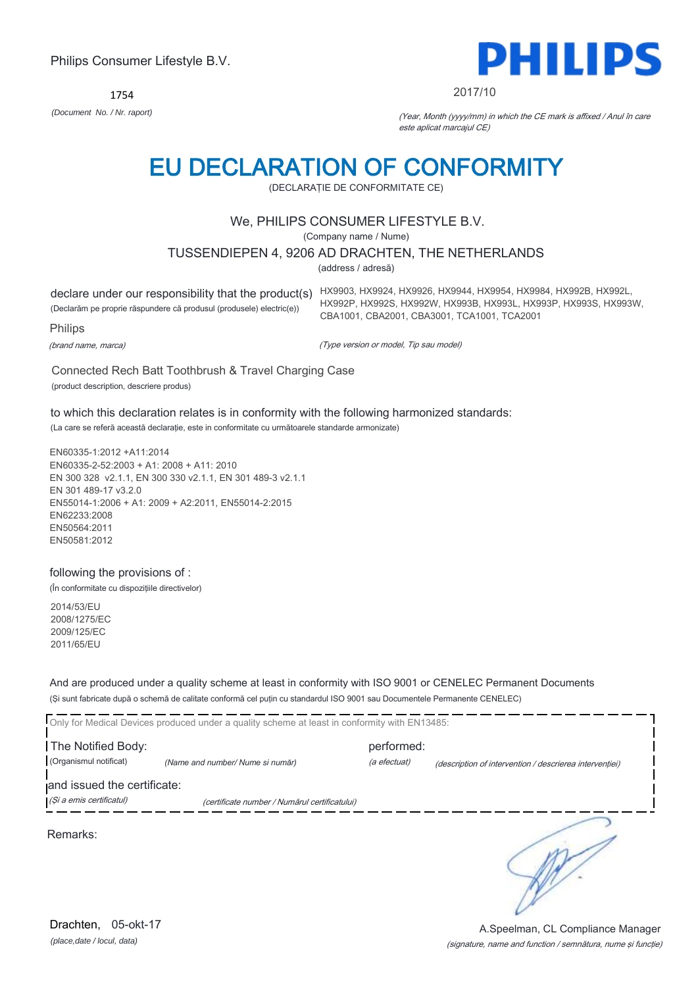1754



#### 2017/10

*(Document No. / Nr. raport)* (Year, Month (yyyy/mm) in which the CE mark is affixed / Anul în care este aplicat marcajul CE)

# EU DECLARATION OF CONFORMITY

(DECLARAŢIE DE CONFORMITATE CE)

# We, PHILIPS CONSUMER LIFESTYLE B.V.

(Company name / Nume)

### TUSSENDIEPEN 4, 9206 AD DRACHTEN, THE NETHERLANDS

(address / adresă)

(Declarăm pe proprie răspundere că produsul (produsele) electric(e))

declare under our responsibility that the product(s) HX9903, HX9924, HX9926, HX9944, HX9954, HX9984, HX992B, HX992L, HX992P, HX992S, HX992W, HX993B, HX993L, HX993P, HX993S, HX993W, CBA1001, CBA2001, CBA3001, TCA1001, TCA2001

Philips

(brand name, marca)

(Type version or model, Tip sau model)

Connected Rech Batt Toothbrush & Travel Charging Case (product description, descriere produs)

to which this declaration relates is in conformity with the following harmonized standards:

(La care se referă această declaraţie, este in conformitate cu următoarele standarde armonizate)

EN60335-1:2012 +A11:2014 EN60335-2-52:2003 + A1: 2008 + A11: 2010 EN 300 328 v2.1.1, EN 300 330 v2.1.1, EN 301 489-3 v2.1.1 EN 301 489-17 v3.2.0 EN55014-1:2006 + A1: 2009 + A2:2011, EN55014-2:2015 EN62233:2008 EN50564:2011 EN50581:2012

### following the provisions of :

(În conformitate cu dispoziţiile directivelor)

2014/53/EU 2008/1275/EC 2009/125/EC 2011/65/EU

And are produced under a quality scheme at least in conformity with ISO 9001 or CENELEC Permanent Documents (Şi sunt fabricate după o schemă de calitate conformă cel puţin cu standardul ISO 9001 sau Documentele Permanente CENELEC)

| Only for Medical Devices produced under a quality scheme at least in conformity with EN13485: |                                               |              |                                                         |  |
|-----------------------------------------------------------------------------------------------|-----------------------------------------------|--------------|---------------------------------------------------------|--|
| The Notified Body:                                                                            |                                               | performed:   |                                                         |  |
| (Organismul notificat)                                                                        | (Name and number/Nume si număr)               | (a efectuat) | (description of intervention / descrierea interventiei) |  |
| and issued the certificate:                                                                   |                                               |              |                                                         |  |
| (Și a emis certificatul)                                                                      | (certificate number / Numărul certificatului) |              |                                                         |  |

Remarks: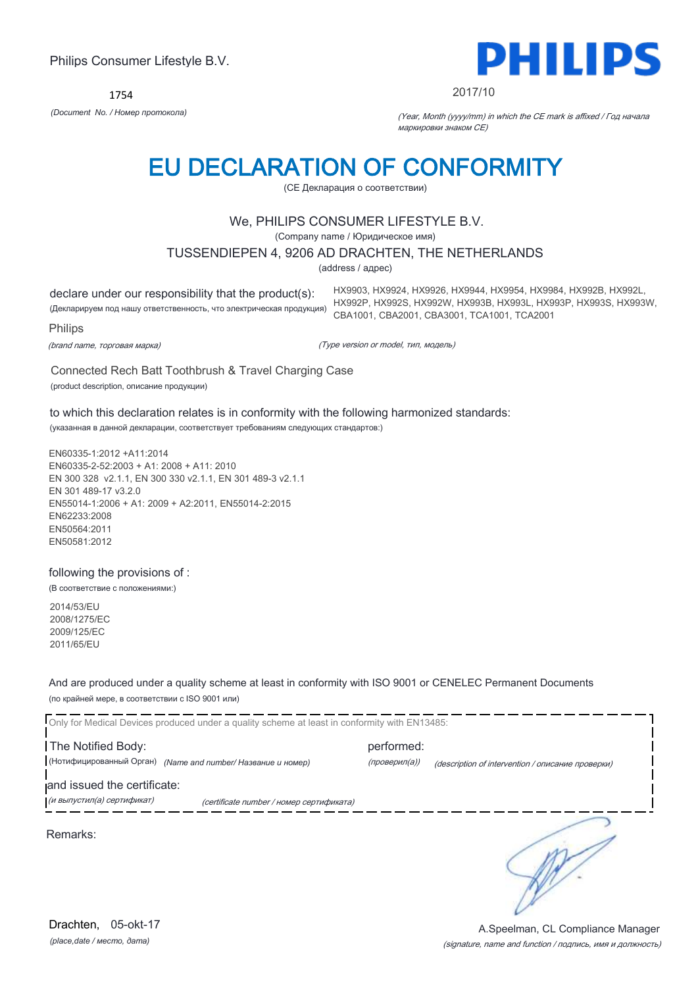1754



#### 2017/10

HX9903, HX9924, HX9926, HX9944, HX9954, HX9984, HX992B, HX992L, HX992P, HX992S, HX992W, HX993B, HX993L, HX993P, HX993S, HX993W,

CBA1001, CBA2001, CBA3001, TCA1001, TCA2001

*(Document No. / Номер протокола)* (Year, Month (yyyy/mm) in which the CE mark is affixed / Год начала маркировки знаком CE)

# EU DECLARATION OF CONFORMITY

(CE Декларация о соответствии)

# We, PHILIPS CONSUMER LIFESTYLE B.V.

(Company name / Юридическое имя)

#### TUSSENDIEPEN 4, 9206 AD DRACHTEN, THE NETHERLANDS

(address / адрес)

declare under our responsibility that the product(s):

(Декларируем под нашу ответственность, что электрическая продукция)

Philips

(brand name, торговая марка)

(Type version or model, тип, модель)

Connected Rech Batt Toothbrush & Travel Charging Case (product description, описание продукции)

to which this declaration relates is in conformity with the following harmonized standards: (указанная в данной декларации, соответствует требованиям следующих стандартов:)

EN60335-1:2012 +A11:2014 EN60335-2-52:2003 + A1: 2008 + A11: 2010 EN 300 328 v2.1.1, EN 300 330 v2.1.1, EN 301 489-3 v2.1.1 EN 301 489-17 v3.2.0 EN55014-1:2006 + A1: 2009 + A2:2011, EN55014-2:2015 EN62233:2008 EN50564:2011 EN50581:2012

### following the provisions of :

(В соответствие с положениями:)

2014/53/EU 2008/1275/EC 2009/125/EC 2011/65/EU

And are produced under a quality scheme at least in conformity with ISO 9001 or CENELEC Permanent Documents (по крайней мере, в соответствии с ISO 9001 или)

Only for Medical Devices produced under a quality scheme at least in conformity with EN13485: The Notified Body: example and the performed: (Нотифицированный Орган) *(Name and number/ Название и номер)* (проверил(а)) (description of intervention / описание проверки) and issued the certificate: (и выпустил(а) сертификат) (certificate number / номер сертификата) ╮ Remarks:

*(place,date / место, дата)* Drachten, 05-okt-17

#### (signature, name and function / подпись, имя и должность) A.Speelman, CL Compliance Manager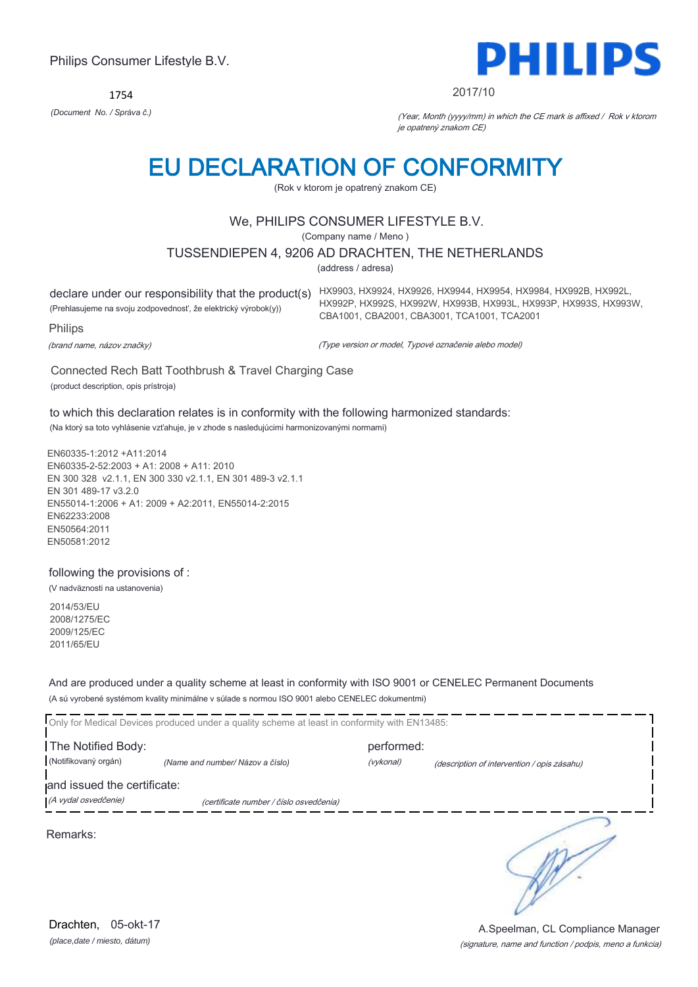1754



#### 2017/10

HX992P, HX992S, HX992W, HX993B, HX993L, HX993P, HX993S, HX993W,

*(Document No. / Správa č.)* (Year, Month (yyyy/mm) in which the CE mark is affixed / Rok v ktorom je opatrený znakom CE)

# EU DECLARATION OF CONFORMITY

(Rok v ktorom je opatrený znakom CE)

# We, PHILIPS CONSUMER LIFESTYLE B.V.

(Company name / Meno )

#### TUSSENDIEPEN 4, 9206 AD DRACHTEN, THE NETHERLANDS

(address / adresa)

declare under our responsibility that the product(s) HX9903, HX9924, HX9926, HX9944, HX9954, HX9984, HX992B, HX992L, (Prehlasujeme na svoju zodpovednosť, že elektrický výrobok(y))

Philips

(brand name, názov značky)

(Type version or model, Typové označenie alebo model)

CBA1001, CBA2001, CBA3001, TCA1001, TCA2001

Connected Rech Batt Toothbrush & Travel Charging Case (product description, opis prístroja)

to which this declaration relates is in conformity with the following harmonized standards: (Na ktorý sa toto vyhlásenie vzťahuje, je v zhode s nasledujúcimi harmonizovanými normami)

EN60335-1:2012 +A11:2014 EN60335-2-52:2003 + A1: 2008 + A11: 2010 EN 300 328 v2.1.1, EN 300 330 v2.1.1, EN 301 489-3 v2.1.1 EN 301 489-17 v3.2.0 EN55014-1:2006 + A1: 2009 + A2:2011, EN55014-2:2015 EN62233:2008 EN50564:2011 EN50581:2012

### following the provisions of :

(V nadväznosti na ustanovenia)

2014/53/EU 2008/1275/EC 2009/125/EC 2011/65/EU

And are produced under a quality scheme at least in conformity with ISO 9001 or CENELEC Permanent Documents (A sú vyrobené systémom kvality minimálne v súlade s normou ISO 9001 alebo CENELEC dokumentmi)

Only for Medical Devices produced under a quality scheme at least in conformity with EN13485: The Notified Body: example and the performed: (Notifikovaný orgán) *(Name and number/ Názov a číslo)* (vykonal) (description of intervention / opis zásahu) and issued the certificate: (A vydal osvedčenie) (certificate number / číslo osvedčenia) ∍ Remarks:

*(place,date / miesto, dátum)* Drachten, 05-okt-17

#### (signature, name and function / podpis, meno a funkcia) A.Speelman, CL Compliance Manager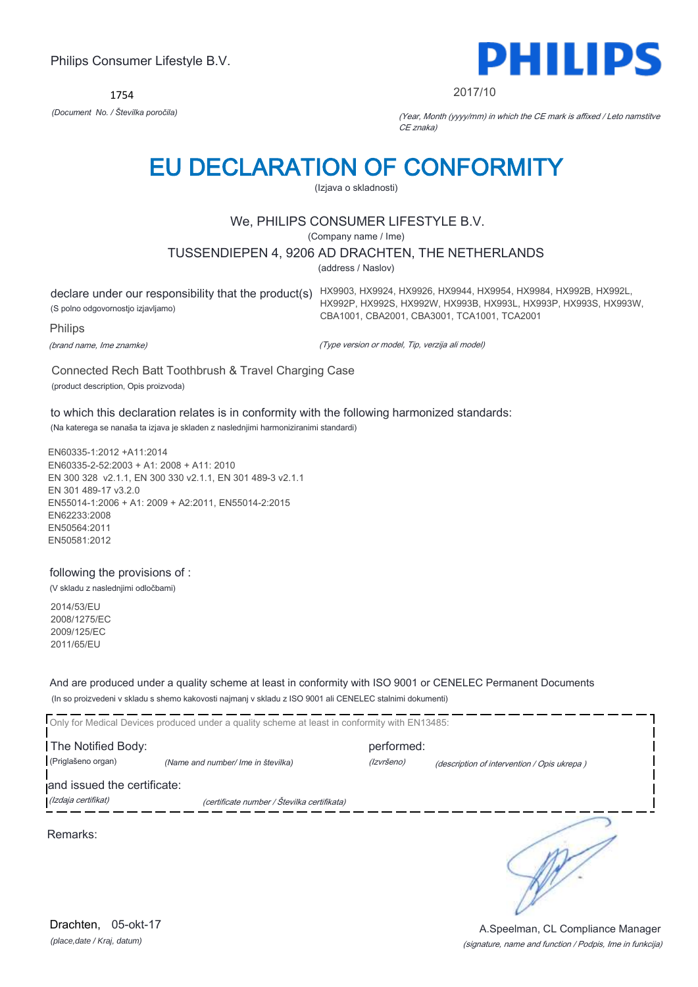1754



#### 2017/10

*(Document No. / Številka poročila)* (Year, Month (yyyy/mm) in which the CE mark is affixed / Leto namstitve CE znaka)

# EU DECLARATION OF CONFORMITY

(Izjava o skladnosti)

# We, PHILIPS CONSUMER LIFESTYLE B.V.

(Company name / Ime)

### TUSSENDIEPEN 4, 9206 AD DRACHTEN, THE NETHERLANDS

(address / Naslov)

(S polno odgovornostjo izjavljamo)

declare under our responsibility that the product(s) HX9903, HX9924, HX9926, HX9944, HX9954, HX9984, HX992B, HX992L, HX992P, HX992S, HX992W, HX993B, HX993L, HX993P, HX993S, HX993W, CBA1001, CBA2001, CBA3001, TCA1001, TCA2001

Philips

(brand name, Ime znamke)

(Type version or model, Tip, verzija ali model)

Connected Rech Batt Toothbrush & Travel Charging Case (product description, Opis proizvoda)

to which this declaration relates is in conformity with the following harmonized standards:

(Na katerega se nanaša ta izjava je skladen z naslednjimi harmoniziranimi standardi)

EN60335-1:2012 +A11:2014 EN60335-2-52:2003 + A1: 2008 + A11: 2010 EN 300 328 v2.1.1, EN 300 330 v2.1.1, EN 301 489-3 v2.1.1 EN 301 489-17 v3.2.0 EN55014-1:2006 + A1: 2009 + A2:2011, EN55014-2:2015 EN62233:2008 EN50564:2011 EN50581:2012

following the provisions of :

(V skladu z naslednjimi odločbami)

2014/53/EU 2008/1275/EC 2009/125/EC 2011/65/EU

And are produced under a quality scheme at least in conformity with ISO 9001 or CENELEC Permanent Documents (In so proizvedeni v skladu s shemo kakovosti najmanj v skladu z ISO 9001 ali CENELEC stalnimi dokumenti)

|                             | Only for Medical Devices produced under a quality scheme at least in conformity with EN13485: |            |                                             |
|-----------------------------|-----------------------------------------------------------------------------------------------|------------|---------------------------------------------|
| The Notified Body:          |                                                                                               | performed: |                                             |
| (Priglašeno organ)          | (Name and number/ Ime in številka)                                                            | (Izvršeno) | (description of intervention / Opis ukrepa) |
| and issued the certificate: |                                                                                               |            |                                             |
| (Izdaja certifikat)         | (certificate number / Številka certifikata)                                                   |            |                                             |
| Remarks:                    |                                                                                               |            |                                             |

*(place,date / Kraj, datum)* Drachten, 05-okt-17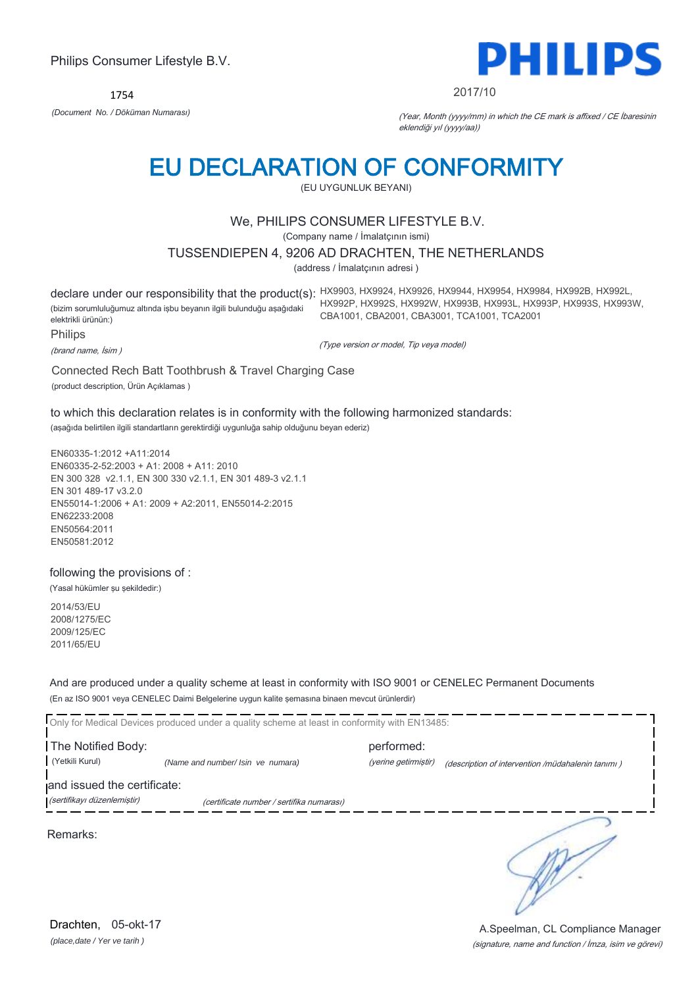1754



#### 2017/10

*(Document No. / Döküman Numarası)* (Year, Month (yyyy/mm) in which the CE mark is affixed / CE İbaresinin eklendiği yıl (yyyy/aa))

# EU DECLARATION OF CONFORMITY

(EU UYGUNLUK BEYANI)

# We, PHILIPS CONSUMER LIFESTYLE B.V.

(Company name / İmalatçının ismi)

TUSSENDIEPEN 4, 9206 AD DRACHTEN, THE NETHERLANDS

(address / İmalatçının adresi )

declare under our responsibility that the product(s): HX9903, HX9924, HX9926, HX9944, HX9954, HX9984, HX992B, HX992L, (bizim sorumluluğumuz altında işbu beyanın ilgili bulunduğu aşağıdaki elektrikli ürünün:) HX992P, HX992S, HX992W, HX993B, HX993L, HX993P, HX993S, HX993W, CBA1001, CBA2001, CBA3001, TCA1001, TCA2001

Philips

(brand name, İsim )

(Type version or model, Tip veya model)

Connected Rech Batt Toothbrush & Travel Charging Case

(product description, Ürün Açıklamas )

to which this declaration relates is in conformity with the following harmonized standards: (aşağıda belirtilen ilgili standartların gerektirdiği uygunluğa sahip olduğunu beyan ederiz)

EN60335-1:2012 +A11:2014 EN60335-2-52:2003 + A1: 2008 + A11: 2010 EN 300 328 v2.1.1, EN 300 330 v2.1.1, EN 301 489-3 v2.1.1 EN 301 489-17 v3.2.0 EN55014-1:2006 + A1: 2009 + A2:2011, EN55014-2:2015 EN62233:2008 EN50564:2011 EN50581:2012

following the provisions of :

(Yasal hükümler şu şekildedir:)

2014/53/EU 2008/1275/EC 2009/125/EC 2011/65/EU

And are produced under a quality scheme at least in conformity with ISO 9001 or CENELEC Permanent Documents (En az ISO 9001 veya CENELEC Daimi Belgelerine uygun kalite şemasına binaen mevcut ürünlerdir)

Only for Medical Devices produced under a quality scheme at least in conformity with EN13485: The Notified Body: performed: (Yetkili Kurul) *(Name and number/ Isin ve numara)* (yerine getirmiştir) (description of intervention /müdahalenin tanımı ) and issued the certificate:

(sertifikayı düzenlemiştir) (certificate number / sertifika numarası)

Remarks:

*(place,date / Yer ve tarih )* Drachten, 05-okt-17

∋

(signature, name and function / İmza, isim ve görevi) A.Speelman, CL Compliance Manager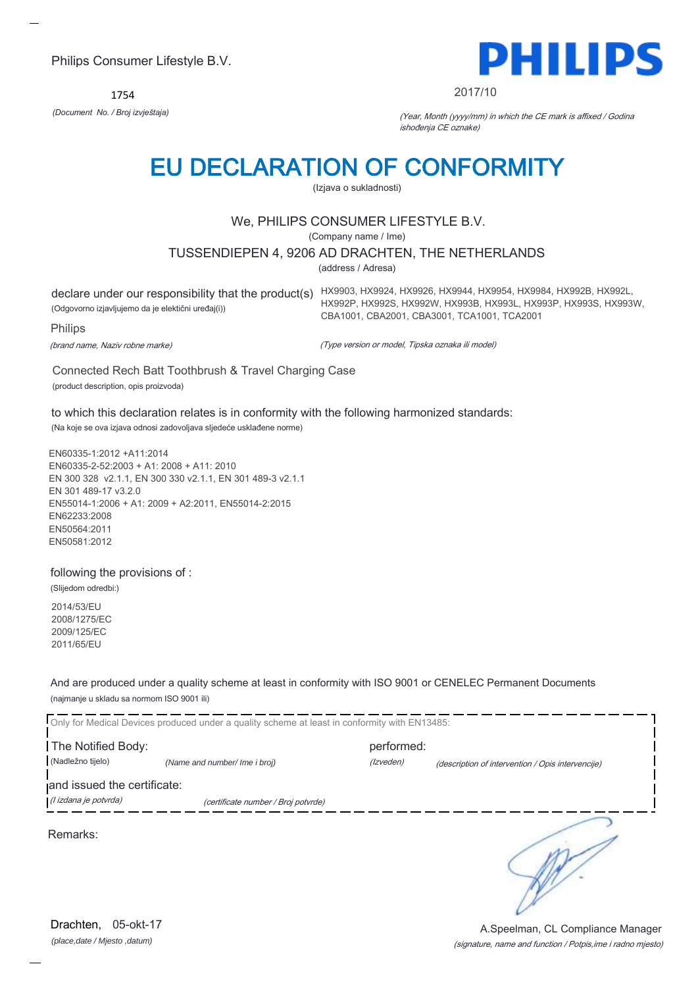1754



#### 2017/10

HX992P, HX992S, HX992W, HX993B, HX993L, HX993P, HX993S, HX993W,

*(Document No. / Broj izvještaja)* (Year, Month (yyyy/mm) in which the CE mark is affixed / Godina ishođenja CE oznake)

# EU DECLARATION OF CONFORMITY

(Izjava o sukladnosti)

# We, PHILIPS CONSUMER LIFESTYLE B.V.

(Company name / Ime)

### TUSSENDIEPEN 4, 9206 AD DRACHTEN, THE NETHERLANDS

(address / Adresa)

declare under our responsibility that the product(s) HX9903, HX9924, HX9926, HX9944, HX9954, HX9984, HX992B, HX992L, (Odgovorno izjavljujemo da je elektični uređaj(i))

Philips

(brand name, Naziv robne marke)

(Type version or model, Tipska oznaka ili model)

CBA1001, CBA2001, CBA3001, TCA1001, TCA2001

Connected Rech Batt Toothbrush & Travel Charging Case (product description, opis proizvoda)

to which this declaration relates is in conformity with the following harmonized standards:

(Na koje se ova izjava odnosi zadovoljava sljedeće usklađene norme)

EN60335-1:2012 +A11:2014 EN60335-2-52:2003 + A1: 2008 + A11: 2010 EN 300 328 v2.1.1, EN 300 330 v2.1.1, EN 301 489-3 v2.1.1 EN 301 489-17 v3.2.0 EN55014-1:2006 + A1: 2009 + A2:2011, EN55014-2:2015 EN62233:2008 EN50564:2011 EN50581:2012

### following the provisions of :

(Slijedom odredbi:)

2014/53/EU 2008/1275/EC 2009/125/EC 2011/65/EU

And are produced under a quality scheme at least in conformity with ISO 9001 or CENELEC Permanent Documents (najmanje u skladu sa normom ISO 9001 ili)

| Only for Medical Devices produced under a quality scheme at least in conformity with EN13485: |                                     |            |                                                   |
|-----------------------------------------------------------------------------------------------|-------------------------------------|------------|---------------------------------------------------|
| The Notified Body:                                                                            |                                     | performed: |                                                   |
| (Nadležno tijelo)                                                                             | (Name and number/ Ime i broj)       | (Izveden)  | (description of intervention / Opis intervencije) |
| and issued the certificate:                                                                   |                                     |            |                                                   |
| (l izdana je potvrda)                                                                         | (certificate number / Broj potvrde) |            |                                                   |
| Remarks:                                                                                      |                                     |            |                                                   |

(signature, name and function / Potpis,ime i radno mjesto) A.Speelman, CL Compliance Manager

*(place,date / Mjesto ,datum)* Drachten, 05-okt-17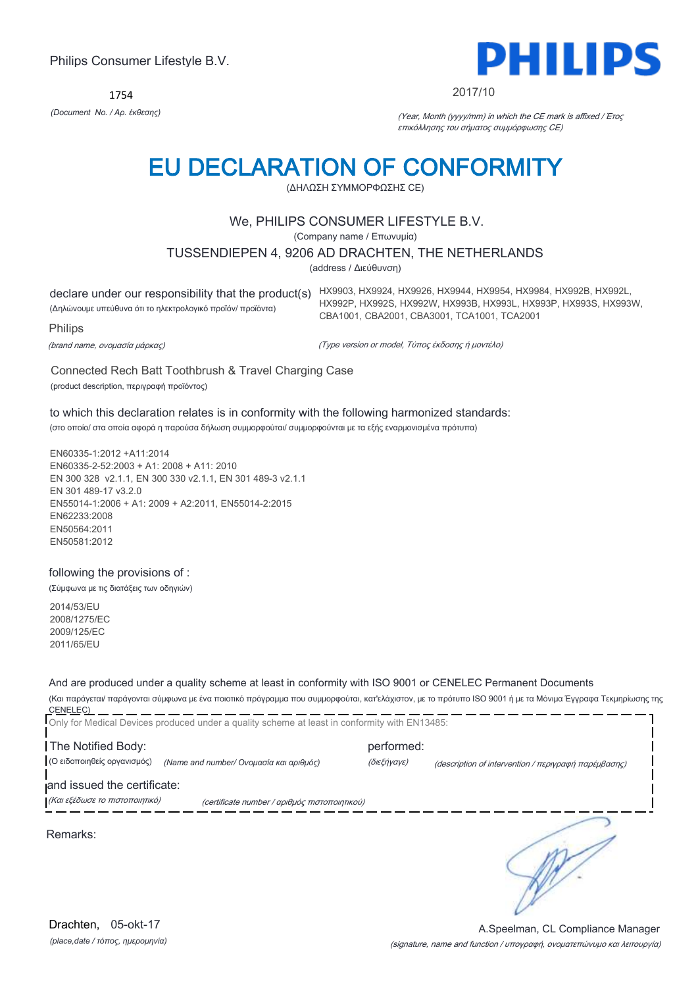1754



#### 2017/10

*(Document No. / Αρ. έκθεσης)* (Year, Month (yyyy/mm) in which the CE mark is affixed / Έτος επικόλλησης του σήματος συμμόρφωσης CE)

# EU DECLARATION OF CONFORMITY

(ΔΗΛΩΣΗ ΣΥΜΜΟΡΦΩΣΗΣ CE)

# We, PHILIPS CONSUMER LIFESTYLE B.V.

(Company name / Επωνυμία)

#### TUSSENDIEPEN 4, 9206 AD DRACHTEN, THE NETHERLANDS

(address / Διεύθυνση)

declare under our responsibility that the product(s) HX9903, HX9924, HX9926, HX9944, HX9954, HX9984, HX992B, HX992L, (Δηλώνουμε υπεύθυνα ότι το ηλεκτρολογικό προϊόν/ προϊόντα) HX992P, HX992S, HX992W, HX993B, HX993L, HX993P, HX993S, HX993W, CBA1001, CBA2001, CBA3001, TCA1001, TCA2001

Philips

(brand name, ονομασία μάρκας)

(Type version or model, Τύπος έκδοσης ή μοντέλο)

Connected Rech Batt Toothbrush & Travel Charging Case (product description, περιγραφή προϊόντος)

to which this declaration relates is in conformity with the following harmonized standards: (στο οποίο/ στα οποία αφορά η παρούσα δήλωση συμμορφούται/ συμμορφούνται με τα εξής εναρμονισμένα πρότυπα)

EN60335-1:2012 +A11:2014 EN60335-2-52:2003 + A1: 2008 + A11: 2010 EN 300 328 v2.1.1, EN 300 330 v2.1.1, EN 301 489-3 v2.1.1 EN 301 489-17 v3.2.0 EN55014-1:2006 + A1: 2009 + A2:2011, EN55014-2:2015 EN62233:2008 EN50564:2011 EN50581:2012

### following the provisions of :

(Σύμφωνα με τις διατάξεις των οδηγιών)

2014/53/EU 2008/1275/EC 2009/125/EC 2011/65/EU

And are produced under a quality scheme at least in conformity with ISO 9001 or CENELEC Permanent Documents

(Και παράγεται/ παράγονται σύμφωνα με ένα ποιοτικό πρόγραμμα που συμμορφούται, κατ'ελάχιστον, με το πρότυπο ISO 9001 ή με τα Μόνιμα Έγγραφα Τεκμηρίωσης της CENELEC)

|                                                               | Only for Medical Devices produced under a quality scheme at least in conformity with EN13485: |                           |                                                      |
|---------------------------------------------------------------|-----------------------------------------------------------------------------------------------|---------------------------|------------------------------------------------------|
| The Notified Body:<br>(Ο ειδοποιηθείς οργανισμός)             | (Name and number/ Ονομασία και αριθμός)                                                       | performed:<br>(διεξήγαγε) | (description of intervention / περιγραφή παρέμβασης) |
| and issued the certificate:<br>(Και εξέδωσε το πιστοποιητικό) | (certificate number / αριθμός πιστοποιητικού)                                                 |                           |                                                      |
| Remarks:                                                      |                                                                                               |                           |                                                      |

*(place,date / τόπος, ημερομηνία)* Drachten, 05-okt-17

(signature, name and function / υπογραφή, ονοματεπώνυμο και λειτουργία) A.Speelman, CL Compliance Manager